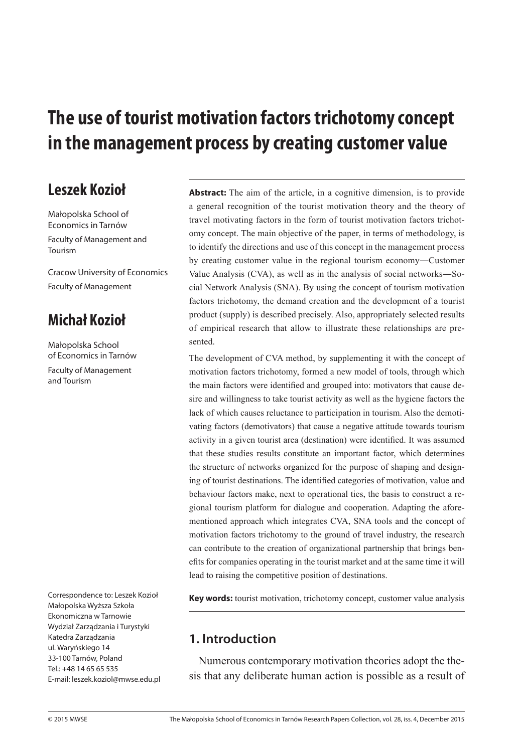# **The use of tourist motivation factors trichotomy concept**  in the management process by creating customer value

## Leszek Kozioł

Małopolska School of Economics in Tarnów Faculty of Management and Tourism

Cracow University of Economics Faculty of Management

# **Michał Kozioł**

Małopolska School of Economics in Tarnów Faculty of Management and Tourism

Correspondence to: Leszek Kozioł Małopolska Wyższa Szkoła Ekonomiczna w Tarnowie Wydział Zarządzania i Turystyki Katedra Zarządzania ul. Waryńskiego 14 33-100 Tarnów, Poland Tel.: +48 14 65 65 535 E-mail: leszek.koziol@mwse.edu.pl

**Abstract:** The aim of the article, in a cognitive dimension, is to provide a general recognition of the tourist motivation theory and the theory of travel motivating factors in the form of tourist motivation factors trichotomy concept. The main objective of the paper, in terms of methodology, is to identify the directions and use of this concept in the management process by creating customer value in the regional tourism economy―Customer Value Analysis (CVA), as well as in the analysis of social networks―Social Network Analysis (SNA). By using the concept of tourism motivation factors trichotomy, the demand creation and the development of a tourist product (supply) is described precisely. Also, appropriately selected results of empirical research that allow to illustrate these relationships are presented.

The development of CVA method, by supplementing it with the concept of motivation factors trichotomy, formed a new model of tools, through which the main factors were identified and grouped into: motivators that cause desire and willingness to take tourist activity as well as the hygiene factors the lack of which causes reluctance to participation in tourism. Also the demotivating factors (demotivators) that cause a negative attitude towards tourism activity in a given tourist area (destination) were identified. It was assumed that these studies results constitute an important factor, which determines the structure of networks organized for the purpose of shaping and designing of tourist destinations. The identified categories of motivation, value and behaviour factors make, next to operational ties, the basis to construct a regional tourism platform for dialogue and cooperation. Adapting the aforementioned approach which integrates CVA, SNA tools and the concept of motivation factors trichotomy to the ground of travel industry, the research can contribute to the creation of organizational partnership that brings benefits for companies operating in the tourist market and at the same time it will lead to raising the competitive position of destinations.

**Key words:** tourist motivation, trichotomy concept, customer value analysis

### **1. Introduction**

Numerous contemporary motivation theories adopt the thesis that any deliberate human action is possible as a result of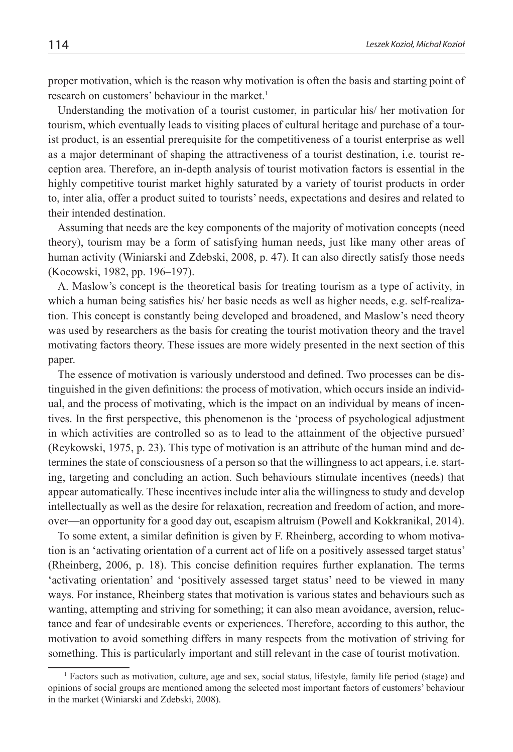proper motivation, which is the reason why motivation is often the basis and starting point of research on customers' behaviour in the market.<sup>1</sup>

Understanding the motivation of a tourist customer, in particular his/ her motivation for tourism, which eventually leads to visiting places of cultural heritage and purchase of a tourist product, is an essential prerequisite for the competitiveness of a tourist enterprise as well as a major determinant of shaping the attractiveness of a tourist destination, i.e. tourist reception area. Therefore, an in-depth analysis of tourist motivation factors is essential in the highly competitive tourist market highly saturated by a variety of tourist products in order to, inter alia, offer a product suited to tourists' needs, expectations and desires and related to their intended destination.

Assuming that needs are the key components of the majority of motivation concepts (need theory), tourism may be a form of satisfying human needs, just like many other areas of human activity (Winiarski and Zdebski, 2008, p. 47). It can also directly satisfy those needs (Kocowski, 1982, pp. 196–197).

A. Maslow's concept is the theoretical basis for treating tourism as a type of activity, in which a human being satisfies his/ her basic needs as well as higher needs, e.g. self-realization. This concept is constantly being developed and broadened, and Maslow's need theory was used by researchers as the basis for creating the tourist motivation theory and the travel motivating factors theory. These issues are more widely presented in the next section of this paper.

The essence of motivation is variously understood and defined. Two processes can be distinguished in the given definitions: the process of motivation, which occurs inside an individual, and the process of motivating, which is the impact on an individual by means of incentives. In the first perspective, this phenomenon is the 'process of psychological adjustment in which activities are controlled so as to lead to the attainment of the objective pursued' (Reykowski, 1975, p. 23). This type of motivation is an attribute of the human mind and determines the state of consciousness of a person so that the willingness to act appears, i.e. starting, targeting and concluding an action. Such behaviours stimulate incentives (needs) that appear automatically. These incentives include inter alia the willingness to study and develop intellectually as well as the desire for relaxation, recreation and freedom of action, and moreover—an opportunity for a good day out, escapism altruism (Powell and Kokkranikal, 2014).

To some extent, a similar definition is given by F. Rheinberg, according to whom motivation is an 'activating orientation of a current act of life on a positively assessed target status' (Rheinberg, 2006, p. 18). This concise definition requires further explanation. The terms 'activating orientation' and 'positively assessed target status' need to be viewed in many ways. For instance, Rheinberg states that motivation is various states and behaviours such as wanting, attempting and striving for something; it can also mean avoidance, aversion, reluctance and fear of undesirable events or experiences. Therefore, according to this author, the motivation to avoid something differs in many respects from the motivation of striving for something. This is particularly important and still relevant in the case of tourist motivation.

<sup>1</sup> Factors such as motivation, culture, age and sex, social status, lifestyle, family life period (stage) and opinions of social groups are mentioned among the selected most important factors of customers' behaviour in the market (Winiarski and Zdebski, 2008).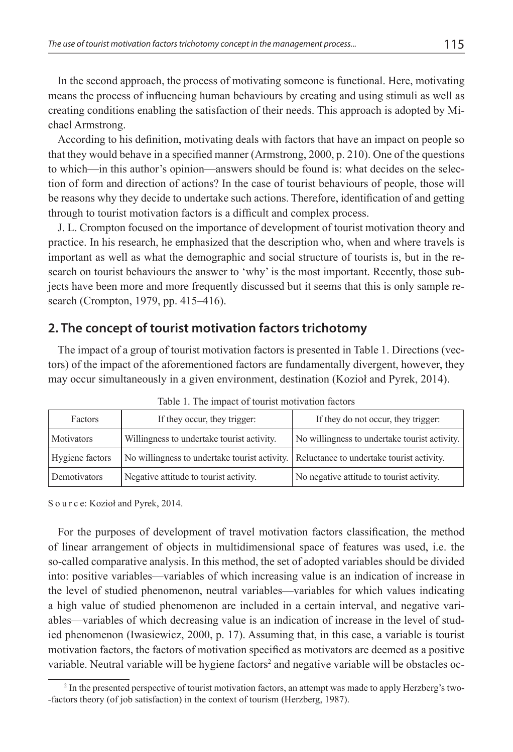In the second approach, the process of motivating someone is functional. Here, motivating means the process of influencing human behaviours by creating and using stimuli as well as creating conditions enabling the satisfaction of their needs. This approach is adopted by Michael Armstrong.

According to his definition, motivating deals with factors that have an impact on people so that they would behave in a specified manner (Armstrong, 2000, p. 210). One of the questions to which—in this author's opinion—answers should be found is: what decides on the selection of form and direction of actions? In the case of tourist behaviours of people, those will be reasons why they decide to undertake such actions. Therefore, identification of and getting through to tourist motivation factors is a difficult and complex process.

J. L. Crompton focused on the importance of development of tourist motivation theory and practice. In his research, he emphasized that the description who, when and where travels is important as well as what the demographic and social structure of tourists is, but in the research on tourist behaviours the answer to 'why' is the most important. Recently, those subjects have been more and more frequently discussed but it seems that this is only sample research (Crompton, 1979, pp. 415–416).

#### **2. The concept of tourist motivation factors trichotomy**

The impact of a group of tourist motivation factors is presented in Table 1. Directions (vectors) of the impact of the aforementioned factors are fundamentally divergent, however, they may occur simultaneously in a given environment, destination (Kozioł and Pyrek, 2014).

| Factors           | If they occur, they trigger:                                                            | If they do not occur, they trigger:           |  |  |
|-------------------|-----------------------------------------------------------------------------------------|-----------------------------------------------|--|--|
| <b>Motivators</b> | Willingness to undertake tourist activity.                                              | No willingness to undertake tourist activity. |  |  |
| Hygiene factors   | No willingness to undertake tourist activity. Reluctance to undertake tourist activity. |                                               |  |  |
| Demotivators      | Negative attitude to tourist activity.                                                  | No negative attitude to tourist activity.     |  |  |

Table 1. The impact of tourist motivation factors

S o u r c e: Kozioł and Pyrek, 2014.

For the purposes of development of travel motivation factors classification, the method of linear arrangement of objects in multidimensional space of features was used, i.e. the so-called comparative analysis. In this method, the set of adopted variables should be divided into: positive variables—variables of which increasing value is an indication of increase in the level of studied phenomenon, neutral variables—variables for which values indicating a high value of studied phenomenon are included in a certain interval, and negative variables—variables of which decreasing value is an indication of increase in the level of studied phenomenon (Iwasiewicz, 2000, p. 17). Assuming that, in this case, a variable is tourist motivation factors, the factors of motivation specified as motivators are deemed as a positive variable. Neutral variable will be hygiene factors<sup>2</sup> and negative variable will be obstacles oc-

<sup>&</sup>lt;sup>2</sup> In the presented perspective of tourist motivation factors, an attempt was made to apply Herzberg's two--factors theory (of job satisfaction) in the context of tourism (Herzberg, 1987).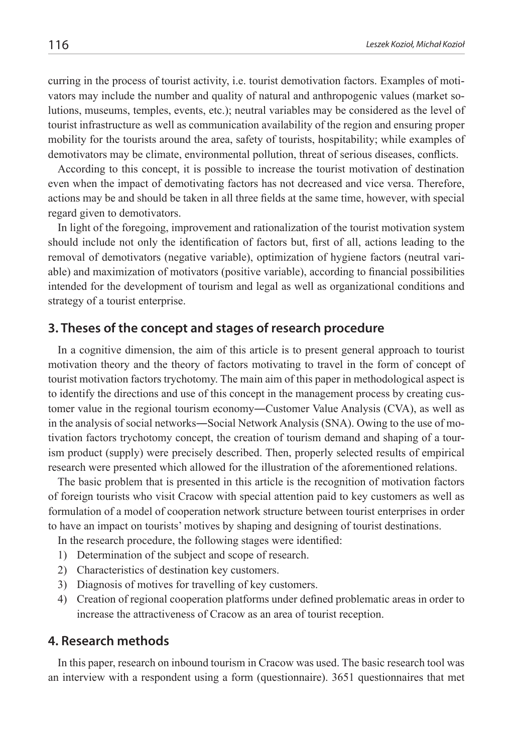curring in the process of tourist activity, i.e. tourist demotivation factors. Examples of motivators may include the number and quality of natural and anthropogenic values (market solutions, museums, temples, events, etc.); neutral variables may be considered as the level of tourist infrastructure as well as communication availability of the region and ensuring proper mobility for the tourists around the area, safety of tourists, hospitability; while examples of demotivators may be climate, environmental pollution, threat of serious diseases, conflicts.

According to this concept, it is possible to increase the tourist motivation of destination even when the impact of demotivating factors has not decreased and vice versa. Therefore, actions may be and should be taken in all three fields at the same time, however, with special regard given to demotivators.

In light of the foregoing, improvement and rationalization of the tourist motivation system should include not only the identification of factors but, first of all, actions leading to the removal of demotivators (negative variable), optimization of hygiene factors (neutral variable) and maximization of motivators (positive variable), according to financial possibilities intended for the development of tourism and legal as well as organizational conditions and strategy of a tourist enterprise.

### **3. Theses of the concept and stages of research procedure**

In a cognitive dimension, the aim of this article is to present general approach to tourist motivation theory and the theory of factors motivating to travel in the form of concept of tourist motivation factors trychotomy. The main aim of this paper in methodological aspect is to identify the directions and use of this concept in the management process by creating customer value in the regional tourism economy―Customer Value Analysis (CVA), as well as in the analysis of social networks―Social Network Analysis (SNA). Owing to the use of motivation factors trychotomy concept, the creation of tourism demand and shaping of a tourism product (supply) were precisely described. Then, properly selected results of empirical research were presented which allowed for the illustration of the aforementioned relations.

The basic problem that is presented in this article is the recognition of motivation factors of foreign tourists who visit Cracow with special attention paid to key customers as well as formulation of a model of cooperation network structure between tourist enterprises in order to have an impact on tourists' motives by shaping and designing of tourist destinations.

In the research procedure, the following stages were identified:

- 1) Determination of the subject and scope of research.
- 2) Characteristics of destination key customers.
- 3) Diagnosis of motives for travelling of key customers.
- 4) Creation of regional cooperation platforms under defined problematic areas in order to increase the attractiveness of Cracow as an area of tourist reception.

#### **4. Research methods**

In this paper, research on inbound tourism in Cracow was used. The basic research tool was an interview with a respondent using a form (questionnaire). 3651 questionnaires that met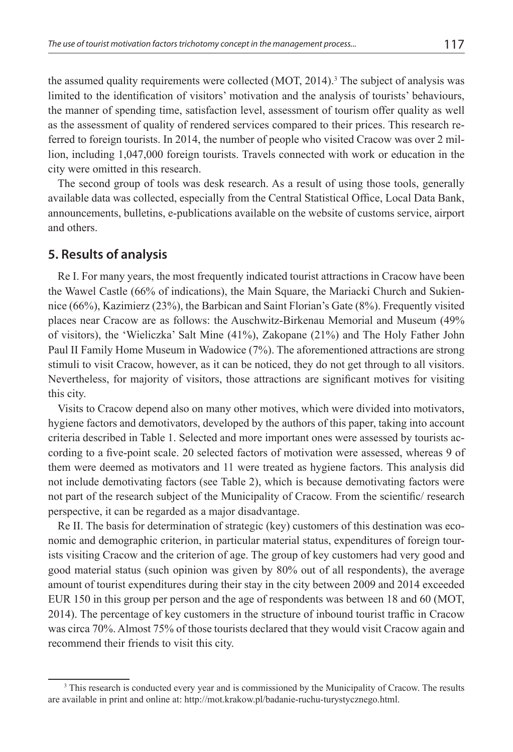the assumed quality requirements were collected  $(MOT, 2014)$ .<sup>3</sup> The subject of analysis was limited to the identification of visitors' motivation and the analysis of tourists' behaviours, the manner of spending time, satisfaction level, assessment of tourism offer quality as well as the assessment of quality of rendered services compared to their prices. This research referred to foreign tourists. In 2014, the number of people who visited Cracow was over 2 million, including 1,047,000 foreign tourists. Travels connected with work or education in the city were omitted in this research.

The second group of tools was desk research. As a result of using those tools, generally available data was collected, especially from the Central Statistical Office, Local Data Bank, announcements, bulletins, e-publications available on the website of customs service, airport and others.

#### **5. Results of analysis**

Re I. For many years, the most frequently indicated tourist attractions in Cracow have been the Wawel Castle (66% of indications), the Main Square, the Mariacki Church and Sukiennice (66%), Kazimierz (23%), the Barbican and Saint Florian's Gate (8%). Frequently visited places near Cracow are as follows: the Auschwitz-Birkenau Memorial and Museum (49% of visitors), the 'Wieliczka' Salt Mine (41%), Zakopane (21%) and The Holy Father John Paul II Family Home Museum in Wadowice (7%). The aforementioned attractions are strong stimuli to visit Cracow, however, as it can be noticed, they do not get through to all visitors. Nevertheless, for majority of visitors, those attractions are significant motives for visiting this city.

Visits to Cracow depend also on many other motives, which were divided into motivators, hygiene factors and demotivators, developed by the authors of this paper, taking into account criteria described in Table 1. Selected and more important ones were assessed by tourists according to a five-point scale. 20 selected factors of motivation were assessed, whereas 9 of them were deemed as motivators and 11 were treated as hygiene factors. This analysis did not include demotivating factors (see Table 2), which is because demotivating factors were not part of the research subject of the Municipality of Cracow. From the scientific/ research perspective, it can be regarded as a major disadvantage.

Re II. The basis for determination of strategic (key) customers of this destination was economic and demographic criterion, in particular material status, expenditures of foreign tourists visiting Cracow and the criterion of age. The group of key customers had very good and good material status (such opinion was given by 80% out of all respondents), the average amount of tourist expenditures during their stay in the city between 2009 and 2014 exceeded EUR 150 in this group per person and the age of respondents was between 18 and 60 (MOT, 2014). The percentage of key customers in the structure of inbound tourist traffic in Cracow was circa 70%. Almost 75% of those tourists declared that they would visit Cracow again and recommend their friends to visit this city.

<sup>&</sup>lt;sup>3</sup> This research is conducted every year and is commissioned by the Municipality of Cracow. The results are available in print and online at: http://mot.krakow.pl/badanie-ruchu-turystycznego.html.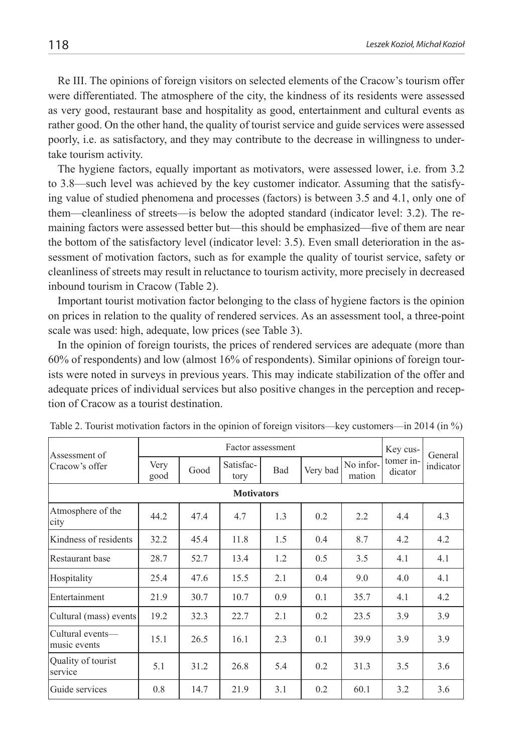Re III. The opinions of foreign visitors on selected elements of the Cracow's tourism offer were differentiated. The atmosphere of the city, the kindness of its residents were assessed as very good, restaurant base and hospitality as good, entertainment and cultural events as rather good. On the other hand, the quality of tourist service and guide services were assessed poorly, i.e. as satisfactory, and they may contribute to the decrease in willingness to undertake tourism activity.

The hygiene factors, equally important as motivators, were assessed lower, i.e. from 3.2 to 3.8—such level was achieved by the key customer indicator. Assuming that the satisfying value of studied phenomena and processes (factors) is between 3.5 and 4.1, only one of them—cleanliness of streets—is below the adopted standard (indicator level: 3.2). The remaining factors were assessed better but—this should be emphasized—five of them are near the bottom of the satisfactory level (indicator level: 3.5). Even small deterioration in the assessment of motivation factors, such as for example the quality of tourist service, safety or cleanliness of streets may result in reluctance to tourism activity, more precisely in decreased inbound tourism in Cracow (Table 2).

Important tourist motivation factor belonging to the class of hygiene factors is the opinion on prices in relation to the quality of rendered services. As an assessment tool, a three-point scale was used: high, adequate, low prices (see Table 3).

In the opinion of foreign tourists, the prices of rendered services are adequate (more than 60% of respondents) and low (almost 16% of respondents). Similar opinions of foreign tourists were noted in surveys in previous years. This may indicate stabilization of the offer and adequate prices of individual services but also positive changes in the perception and reception of Cracow as a tourist destination.

| Assessment of                    | Factor assessment |      |                   |     |          |                     | Key cus-             | General   |
|----------------------------------|-------------------|------|-------------------|-----|----------|---------------------|----------------------|-----------|
| Cracow's offer                   | Very<br>good      | Good | Satisfac-<br>tory | Bad | Very bad | No infor-<br>mation | tomer in-<br>dicator | indicator |
| <b>Motivators</b>                |                   |      |                   |     |          |                     |                      |           |
| Atmosphere of the<br>city        | 44.2              | 47.4 | 4.7               | 1.3 | 0.2      | 2.2                 | 4.4                  | 4.3       |
| Kindness of residents            | 32.2              | 45.4 | 11.8              | 1.5 | 0.4      | 8.7                 | 4.2                  | 4.2       |
| Restaurant base                  | 28.7              | 52.7 | 13.4              | 1.2 | 0.5      | 3.5                 | 4.1                  | 4.1       |
| Hospitality                      | 25.4              | 47.6 | 15.5              | 2.1 | 0.4      | 9.0                 | 4.0                  | 4.1       |
| Entertainment                    | 21.9              | 30.7 | 10.7              | 0.9 | 0.1      | 35.7                | 4.1                  | 4.2       |
| Cultural (mass) events           | 19.2              | 32.3 | 22.7              | 2.1 | 0.2      | 23.5                | 3.9                  | 3.9       |
| Cultural events-<br>music events | 15.1              | 26.5 | 16.1              | 2.3 | 0.1      | 39.9                | 3.9                  | 3.9       |
| Quality of tourist<br>service    | 5.1               | 31.2 | 26.8              | 5.4 | 0.2      | 31.3                | 3.5                  | 3.6       |
| Guide services                   | 0.8               | 14.7 | 21.9              | 3.1 | 0.2      | 60.1                | 3.2                  | 3.6       |

Table 2. Tourist motivation factors in the opinion of foreign visitors—key customers—in 2014 (in %)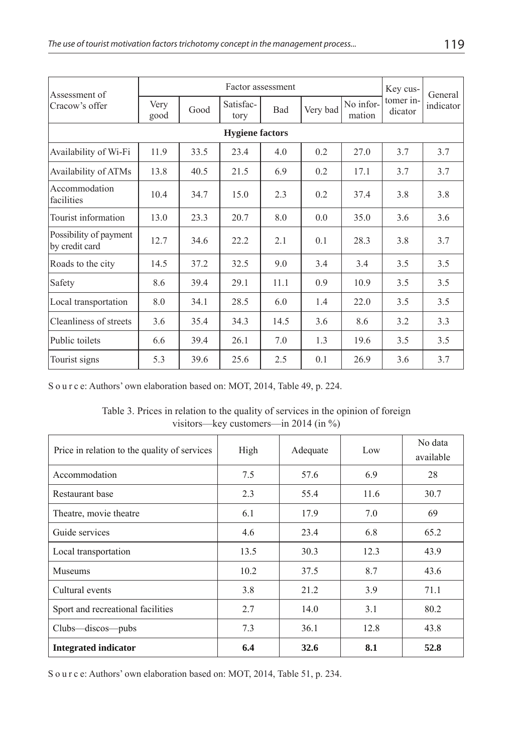| Assessment of                            | Factor assessment |      |                   |            |          |                     | Key cus-             | General   |
|------------------------------------------|-------------------|------|-------------------|------------|----------|---------------------|----------------------|-----------|
| Cracow's offer                           | Very<br>good      | Good | Satisfac-<br>tory | <b>Bad</b> | Very bad | No infor-<br>mation | tomer in-<br>dicator | indicator |
| <b>Hygiene factors</b>                   |                   |      |                   |            |          |                     |                      |           |
| Availability of Wi-Fi                    | 11.9              | 33.5 | 23.4              | 4.0        | 0.2      | 27.0                | 3.7                  | 3.7       |
| Availability of ATMs                     | 13.8              | 40.5 | 21.5              | 6.9        | 0.2      | 17.1                | 3.7                  | 3.7       |
| Accommodation<br>facilities              | 10.4              | 34.7 | 15.0              | 2.3        | 0.2      | 37.4                | 3.8                  | 3.8       |
| Tourist information                      | 13.0              | 23.3 | 20.7              | 8.0        | 0.0      | 35.0                | 3.6                  | 3.6       |
| Possibility of payment<br>by credit card | 12.7              | 34.6 | 22.2              | 2.1        | 0.1      | 28.3                | 3.8                  | 3.7       |
| Roads to the city                        | 14.5              | 37.2 | 32.5              | 9.0        | 3.4      | 3.4                 | 3.5                  | 3.5       |
| Safety                                   | 8.6               | 39.4 | 29.1              | 11.1       | 0.9      | 10.9                | 3.5                  | 3.5       |
| Local transportation                     | 8.0               | 34.1 | 28.5              | 6.0        | 1.4      | 22.0                | 3.5                  | 3.5       |
| Cleanliness of streets                   | 3.6               | 35.4 | 34.3              | 14.5       | 3.6      | 8.6                 | 3.2                  | 3.3       |
| Public toilets                           | 6.6               | 39.4 | 26.1              | 7.0        | 1.3      | 19.6                | 3.5                  | 3.5       |
| Tourist signs                            | 5.3               | 39.6 | 25.6              | 2.5        | 0.1      | 26.9                | 3.6                  | 3.7       |

S o u r c e: Authors' own elaboration based on: MOT, 2014, Table 49, p. 224.

Table 3. Prices in relation to the quality of services in the opinion of foreign visitors—key customers—in 2014 (in %)

| Price in relation to the quality of services | High | Adequate | Low  | No data<br>available |
|----------------------------------------------|------|----------|------|----------------------|
| Accommodation                                | 7.5  | 57.6     | 6.9  | 28                   |
| Restaurant base                              | 2.3  | 55.4     | 11.6 | 30.7                 |
| Theatre, movie theatre                       | 6.1  | 17.9     | 7.0  | 69                   |
| Guide services                               | 4.6  | 23.4     | 6.8  | 65.2                 |
| Local transportation                         | 13.5 | 30.3     | 12.3 | 43.9                 |
| <b>Museums</b>                               | 10.2 | 37.5     | 8.7  | 43.6                 |
| Cultural events                              | 3.8  | 21.2     | 3.9  | 71.1                 |
| Sport and recreational facilities            | 2.7  | 14.0     | 3.1  | 80.2                 |
| Clubs—discos—pubs                            | 7.3  | 36.1     | 12.8 | 43.8                 |
| <b>Integrated indicator</b>                  | 6.4  | 32.6     | 8.1  | 52.8                 |

S o u r c e: Authors' own elaboration based on: MOT, 2014, Table 51, p. 234.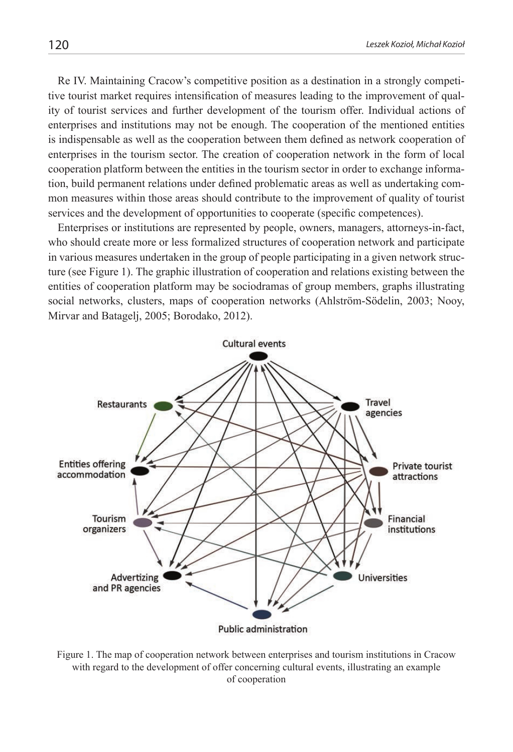Re IV. Maintaining Cracow's competitive position as a destination in a strongly competitive tourist market requires intensification of measures leading to the improvement of quality of tourist services and further development of the tourism offer. Individual actions of enterprises and institutions may not be enough. The cooperation of the mentioned entities is indispensable as well as the cooperation between them defined as network cooperation of enterprises in the tourism sector. The creation of cooperation network in the form of local cooperation platform between the entities in the tourism sector in order to exchange information, build permanent relations under defined problematic areas as well as undertaking common measures within those areas should contribute to the improvement of quality of tourist services and the development of opportunities to cooperate (specific competences).

Enterprises or institutions are represented by people, owners, managers, attorneys-in-fact, who should create more or less formalized structures of cooperation network and participate in various measures undertaken in the group of people participating in a given network structure (see Figure 1). The graphic illustration of cooperation and relations existing between the entities of cooperation platform may be sociodramas of group members, graphs illustrating social networks, clusters, maps of cooperation networks (Ahlström-Södelin, 2003; Nooy, Mirvar and Batagelj, 2005; Borodako, 2012).



Figure 1. The map of cooperation network between enterprises and tourism institutions in Cracow with regard to the development of offer concerning cultural events, illustrating an example of cooperation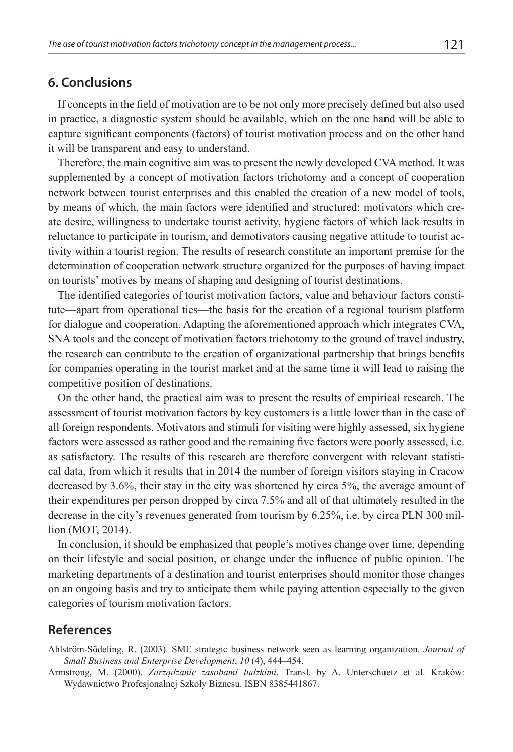#### **6. Conclusions**

If concepts in the field of motivation are to be not only more precisely defined but also used in practice, a diagnostic system should be available, which on the one hand will be able to capture significant components (factors) of tourist motivation process and on the other hand it will be transparent and easy to understand.

Therefore, the main cognitive aim was to present the newly developed CVA method. It was supplemented by a concept of motivation factors trichotomy and a concept of cooperation network between tourist enterprises and this enabled the creation of a new model of tools, by means of which, the main factors were identified and structured: motivators which create desire, willingness to undertake tourist activity, hygiene factors of which lack results in reluctance to participate in tourism, and demotivators causing negative attitude to tourist activity within a tourist region. The results of research constitute an important premise for the determination of cooperation network structure organized for the purposes of having impact on tourists' motives by means of shaping and designing of tourist destinations.

The identified categories of tourist motivation factors, value and behaviour factors constitute—apart from operational ties—the basis for the creation of a regional tourism platform for dialogue and cooperation. Adapting the aforementioned approach which integrates CVA, SNA tools and the concept of motivation factors trichotomy to the ground of travel industry, the research can contribute to the creation of organizational partnership that brings benefits for companies operating in the tourist market and at the same time it will lead to raising the competitive position of destinations.

On the other hand, the practical aim was to present the results of empirical research. The assessment of tourist motivation factors by key customers is a little lower than in the case of all foreign respondents. Motivators and stimuli for visiting were highly assessed, six hygiene factors were assessed as rather good and the remaining five factors were poorly assessed, i.e. as satisfactory. The results of this research are therefore convergent with relevant statistical data, from which it results that in 2014 the number of foreign visitors staying in Cracow decreased by 3.6%, their stay in the city was shortened by circa 5%, the average amount of their expenditures per person dropped by circa 7.5% and all of that ultimately resulted in the decrease in the city's revenues generated from tourism by 6.25%, i.e. by circa PLN 300 million (MOT, 2014).

In conclusion, it should be emphasized that people's motives change over time, depending on their lifestyle and social position, or change under the influence of public opinion. The marketing departments of a destination and tourist enterprises should monitor those changes on an ongoing basis and try to anticipate them while paying attention especially to the given categories of tourism motivation factors.

#### **References**

Ahlström-Södeling, R. (2003). SME strategic business network seen as learning organization*. Journal of Small Business and Enterprise Development*, *10* (4), 444‒454.

Armstrong, M. (2000). *Zarządzanie zasobami ludzkimi*. Transl. by A. Unterschuetz et al. Kraków: Wydawnictwo Profesjonalnej Szkoły Biznesu. ISBN 8385441867.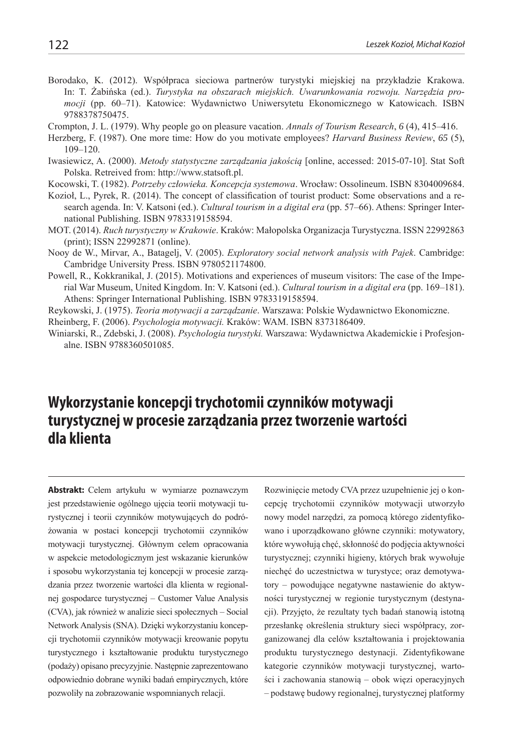- Borodako, K. (2012). Współpraca sieciowa partnerów turystyki miejskiej na przykładzie Krakowa. In: T. Żabińska (ed.). *Turystyka na obszarach miejskich. Uwarunkowania rozwoju. Narzędzia promocji* (pp. 60‒71). Katowice: Wydawnictwo Uniwersytetu Ekonomicznego w Katowicach. ISBN 9788378750475.
- Crompton, J. L. (1979). Why people go on pleasure vacation. *Annals of Tourism Research*, 6(4), 415–416.
- Herzberg, F. (1987). One more time: How do you motivate employees? *Harvard Business Review*, *65* (5), 109‒120.
- Iwasiewicz, A. (2000). *Metody statystyczne zarządzania jakością* [online, accessed: 2015-07-10]. Stat Soft Polska. Retreived from: http://www.statsoft.pl.
- Kocowski, T. (1982). *Potrzeby człowieka. Koncepcja systemowa*. Wrocław: Ossolineum. ISBN 8304009684.
- Kozioł, L., Pyrek, R. (2014). The concept of classification of tourist product: Some observations and a research agenda. In: V. Katsoni (ed.). *Cultural tourism in a digital era* (pp. 57–66). Athens: Springer International Publishing. ISBN 9783319158594.
- MOT. (2014). *Ruch turystyczny w Krakowie*. Kraków: Małopolska Organizacja Turystyczna. ISSN 22992863 (print); ISSN 22992871 (online).
- Nooy de W., Mirvar, A., Batagelj, V. (2005). *Exploratory social network analysis with Pajek*. Cambridge: Cambridge University Press. ISBN 9780521174800.
- Powell, R., Kokkranikal, J. (2015). Motivations and experiences of museum visitors: The case of the Imperial War Museum, United Kingdom. In: V. Katsoni (ed.). *Cultural tourism in a digital era* (pp. 169–181). Athens: Springer International Publishing. ISBN 9783319158594.

Reykowski, J. (1975). *Teoria motywacji a zarządzanie*. Warszawa: Polskie Wydawnictwo Ekonomiczne.

Rheinberg, F. (2006). *Psychologia motywacji.* Kraków: WAM. ISBN 8373186409.

Winiarski, R., Zdebski, J. (2008). *Psychologia turystyki.* Warszawa: Wydawnictwa Akademickie i Profesjonalne. ISBN 9788360501085.

### **Wykorzystanie koncepcji trychotomii czynników motywacji turystycznej w procesie zarządzania przez tworzenie wartości dla klienta**

**Abstrakt:** Celem artykułu w wymiarze poznawczym jest przedstawienie ogólnego ujęcia teorii motywacji turystycznej i teorii czynników motywujących do podróżowania w postaci koncepcji trychotomii czynników motywacji turystycznej. Głównym celem opracowania w aspekcie metodologicznym jest wskazanie kierunków i sposobu wykorzystania tej koncepcji w procesie zarządzania przez tworzenie wartości dla klienta w regionalnej gospodarce turystycznej – Customer Value Analysis (CVA), jak również w analizie sieci społecznych – Social Network Analysis (SNA). Dzięki wykorzystaniu koncepcji trychotomii czynników motywacji kreowanie popytu turystycznego i kształtowanie produktu turystycznego (podaży) opisano precyzyjnie. Następnie zaprezentowano odpowiednio dobrane wyniki badań empirycznych, które pozwoliły na zobrazowanie wspomnianych relacji.

Rozwinięcie metody CVA przez uzupełnienie jej o koncepcję trychotomii czynników motywacji utworzyło nowy model narzędzi, za pomocą którego zidentyfikowano i uporządkowano główne czynniki: motywatory, które wywołują chęć, skłonność do podjęcia aktywności turystycznej; czynniki higieny, których brak wywołuje niechęć do uczestnictwa w turystyce; oraz demotywatory – powodujące negatywne nastawienie do aktywności turystycznej w regionie turystycznym (destynacji). Przyjęto, że rezultaty tych badań stanowią istotną przesłankę określenia struktury sieci współpracy, zorganizowanej dla celów kształtowania i projektowania produktu turystycznego destynacji. Zidentyfikowane kategorie czynników motywacji turystycznej, wartości i zachowania stanowią – obok więzi operacyjnych – podstawę budowy regionalnej, turystycznej platformy